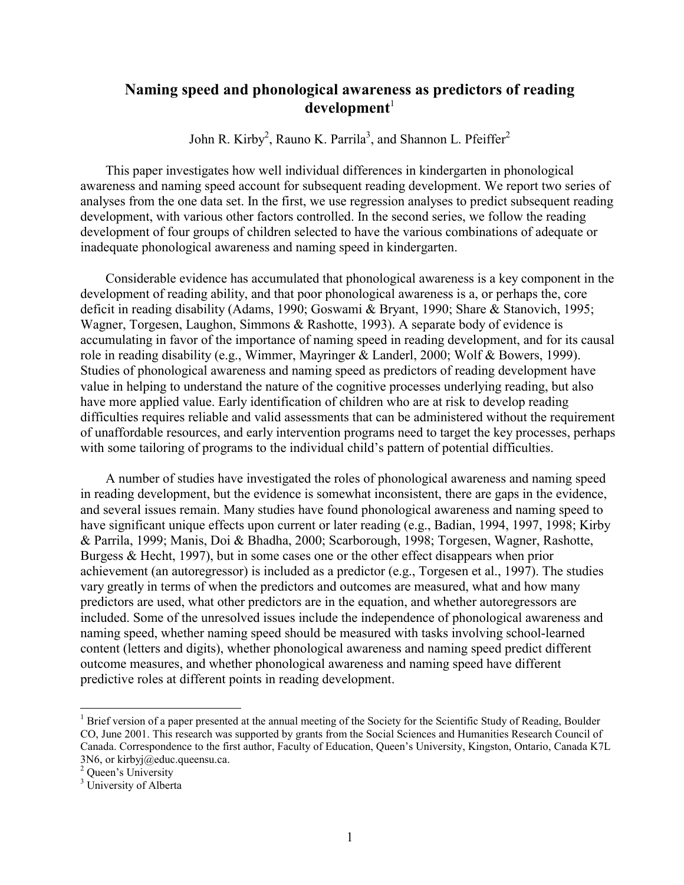# **Naming speed and phonological awareness as predictors of reading development**<sup>1</sup>

John R. Kirby<sup>2</sup>, Rauno K. Parrila<sup>3</sup>, and Shannon L. Pfeiffer<sup>2</sup>

This paper investigates how well individual differences in kindergarten in phonological awareness and naming speed account for subsequent reading development. We report two series of analyses from the one data set. In the first, we use regression analyses to predict subsequent reading development, with various other factors controlled. In the second series, we follow the reading development of four groups of children selected to have the various combinations of adequate or inadequate phonological awareness and naming speed in kindergarten.

Considerable evidence has accumulated that phonological awareness is a key component in the development of reading ability, and that poor phonological awareness is a, or perhaps the, core deficit in reading disability (Adams, 1990; Goswami & Bryant, 1990; Share & Stanovich, 1995; Wagner, Torgesen, Laughon, Simmons & Rashotte, 1993). A separate body of evidence is accumulating in favor of the importance of naming speed in reading development, and for its causal role in reading disability (e.g., Wimmer, Mayringer & Landerl, 2000; Wolf & Bowers, 1999). Studies of phonological awareness and naming speed as predictors of reading development have value in helping to understand the nature of the cognitive processes underlying reading, but also have more applied value. Early identification of children who are at risk to develop reading difficulties requires reliable and valid assessments that can be administered without the requirement of unaffordable resources, and early intervention programs need to target the key processes, perhaps with some tailoring of programs to the individual child's pattern of potential difficulties.

A number of studies have investigated the roles of phonological awareness and naming speed in reading development, but the evidence is somewhat inconsistent, there are gaps in the evidence, and several issues remain. Many studies have found phonological awareness and naming speed to have significant unique effects upon current or later reading (e.g., Badian, 1994, 1997, 1998; Kirby & Parrila, 1999; Manis, Doi & Bhadha, 2000; Scarborough, 1998; Torgesen, Wagner, Rashotte, Burgess & Hecht, 1997), but in some cases one or the other effect disappears when prior achievement (an autoregressor) is included as a predictor (e.g., Torgesen et al., 1997). The studies vary greatly in terms of when the predictors and outcomes are measured, what and how many predictors are used, what other predictors are in the equation, and whether autoregressors are included. Some of the unresolved issues include the independence of phonological awareness and naming speed, whether naming speed should be measured with tasks involving school-learned content (letters and digits), whether phonological awareness and naming speed predict different outcome measures, and whether phonological awareness and naming speed have different predictive roles at different points in reading development.

 $\overline{a}$ 

<sup>&</sup>lt;sup>1</sup> Brief version of a paper presented at the annual meeting of the Society for the Scientific Study of Reading, Boulder CO, June 2001. This research was supported by grants from the Social Sciences and Humanities Research Council of Canada. Correspondence to the first author, Faculty of Education, Queen's University, Kingston, Ontario, Canada K7L 3N6, or kirbyj@educ.queensu.ca.

<sup>2</sup> Queen's University

<sup>&</sup>lt;sup>3</sup> University of Alberta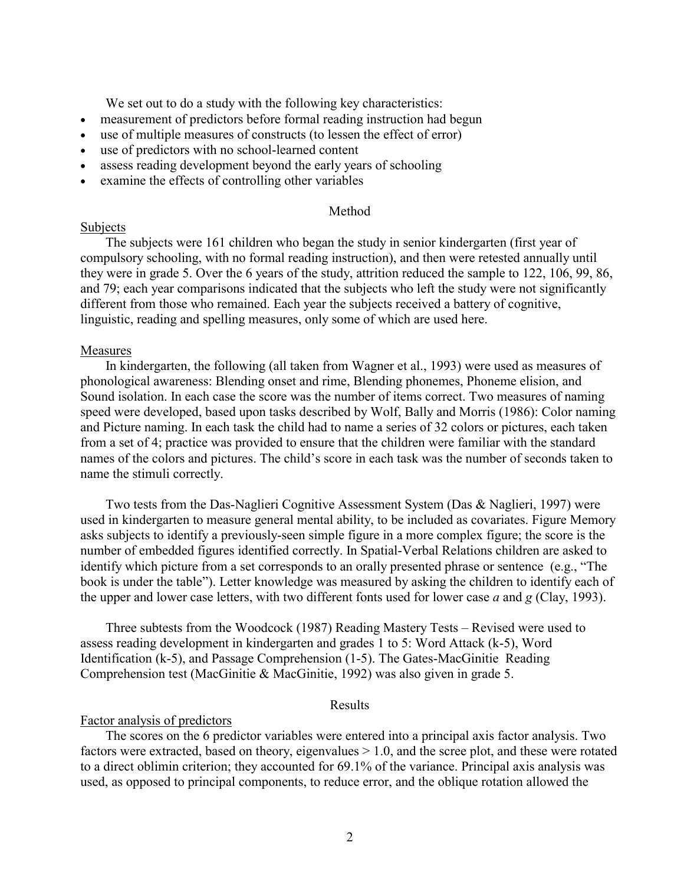We set out to do a study with the following key characteristics:

- measurement of predictors before formal reading instruction had begun
- use of multiple measures of constructs (to lessen the effect of error)
- use of predictors with no school-learned content
- assess reading development beyond the early years of schooling
- examine the effects of controlling other variables

#### Method

#### Subjects

The subjects were 161 children who began the study in senior kindergarten (first year of compulsory schooling, with no formal reading instruction), and then were retested annually until they were in grade 5. Over the 6 years of the study, attrition reduced the sample to 122, 106, 99, 86, and 79; each year comparisons indicated that the subjects who left the study were not significantly different from those who remained. Each year the subjects received a battery of cognitive, linguistic, reading and spelling measures, only some of which are used here.

### Measures

In kindergarten, the following (all taken from Wagner et al., 1993) were used as measures of phonological awareness: Blending onset and rime, Blending phonemes, Phoneme elision, and Sound isolation. In each case the score was the number of items correct. Two measures of naming speed were developed, based upon tasks described by Wolf, Bally and Morris (1986): Color naming and Picture naming. In each task the child had to name a series of 32 colors or pictures, each taken from a set of 4; practice was provided to ensure that the children were familiar with the standard names of the colors and pictures. The child's score in each task was the number of seconds taken to name the stimuli correctly.

Two tests from the Das-Naglieri Cognitive Assessment System (Das & Naglieri, 1997) were used in kindergarten to measure general mental ability, to be included as covariates. Figure Memory asks subjects to identify a previously-seen simple figure in a more complex figure; the score is the number of embedded figures identified correctly. In Spatial-Verbal Relations children are asked to identify which picture from a set corresponds to an orally presented phrase or sentence (e.g., "The book is under the table"). Letter knowledge was measured by asking the children to identify each of the upper and lower case letters, with two different fonts used for lower case *a* and *g* (Clay, 1993).

Three subtests from the Woodcock (1987) Reading Mastery Tests – Revised were used to assess reading development in kindergarten and grades 1 to 5: Word Attack (k-5), Word Identification (k-5), and Passage Comprehension (1-5). The Gates-MacGinitie Reading Comprehension test (MacGinitie & MacGinitie, 1992) was also given in grade 5.

#### Results

#### Factor analysis of predictors

The scores on the 6 predictor variables were entered into a principal axis factor analysis. Two factors were extracted, based on theory, eigenvalues  $> 1.0$ , and the scree plot, and these were rotated to a direct oblimin criterion; they accounted for 69.1% of the variance. Principal axis analysis was used, as opposed to principal components, to reduce error, and the oblique rotation allowed the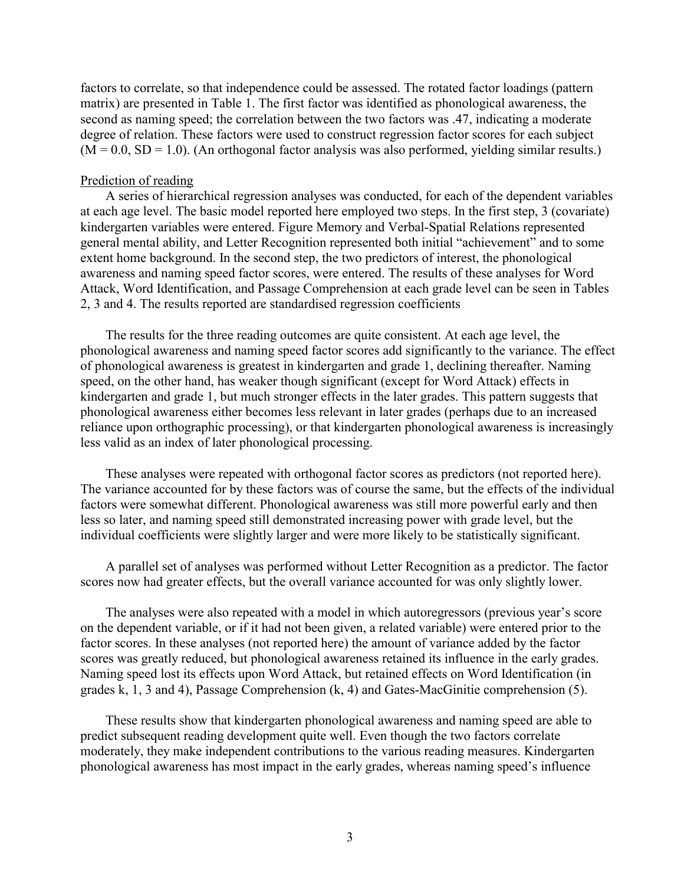factors to correlate, so that independence could be assessed. The rotated factor loadings (pattern matrix) are presented in Table 1. The first factor was identified as phonological awareness, the second as naming speed; the correlation between the two factors was .47, indicating a moderate degree of relation. These factors were used to construct regression factor scores for each subject  $(M = 0.0, SD = 1.0)$ . (An orthogonal factor analysis was also performed, yielding similar results.)

### Prediction of reading

A series of hierarchical regression analyses was conducted, for each of the dependent variables at each age level. The basic model reported here employed two steps. In the first step, 3 (covariate) kindergarten variables were entered. Figure Memory and Verbal-Spatial Relations represented general mental ability, and Letter Recognition represented both initial "achievement" and to some extent home background. In the second step, the two predictors of interest, the phonological awareness and naming speed factor scores, were entered. The results of these analyses for Word Attack, Word Identification, and Passage Comprehension at each grade level can be seen in Tables 2, 3 and 4. The results reported are standardised regression coefficients

The results for the three reading outcomes are quite consistent. At each age level, the phonological awareness and naming speed factor scores add significantly to the variance. The effect of phonological awareness is greatest in kindergarten and grade 1, declining thereafter. Naming speed, on the other hand, has weaker though significant (except for Word Attack) effects in kindergarten and grade 1, but much stronger effects in the later grades. This pattern suggests that phonological awareness either becomes less relevant in later grades (perhaps due to an increased reliance upon orthographic processing), or that kindergarten phonological awareness is increasingly less valid as an index of later phonological processing.

These analyses were repeated with orthogonal factor scores as predictors (not reported here). The variance accounted for by these factors was of course the same, but the effects of the individual factors were somewhat different. Phonological awareness was still more powerful early and then less so later, and naming speed still demonstrated increasing power with grade level, but the individual coefficients were slightly larger and were more likely to be statistically significant.

A parallel set of analyses was performed without Letter Recognition as a predictor. The factor scores now had greater effects, but the overall variance accounted for was only slightly lower.

The analyses were also repeated with a model in which autoregressors (previous year's score on the dependent variable, or if it had not been given, a related variable) were entered prior to the factor scores. In these analyses (not reported here) the amount of variance added by the factor scores was greatly reduced, but phonological awareness retained its influence in the early grades. Naming speed lost its effects upon Word Attack, but retained effects on Word Identification (in grades k, 1, 3 and 4), Passage Comprehension (k, 4) and Gates-MacGinitie comprehension (5).

These results show that kindergarten phonological awareness and naming speed are able to predict subsequent reading development quite well. Even though the two factors correlate moderately, they make independent contributions to the various reading measures. Kindergarten phonological awareness has most impact in the early grades, whereas naming speed's influence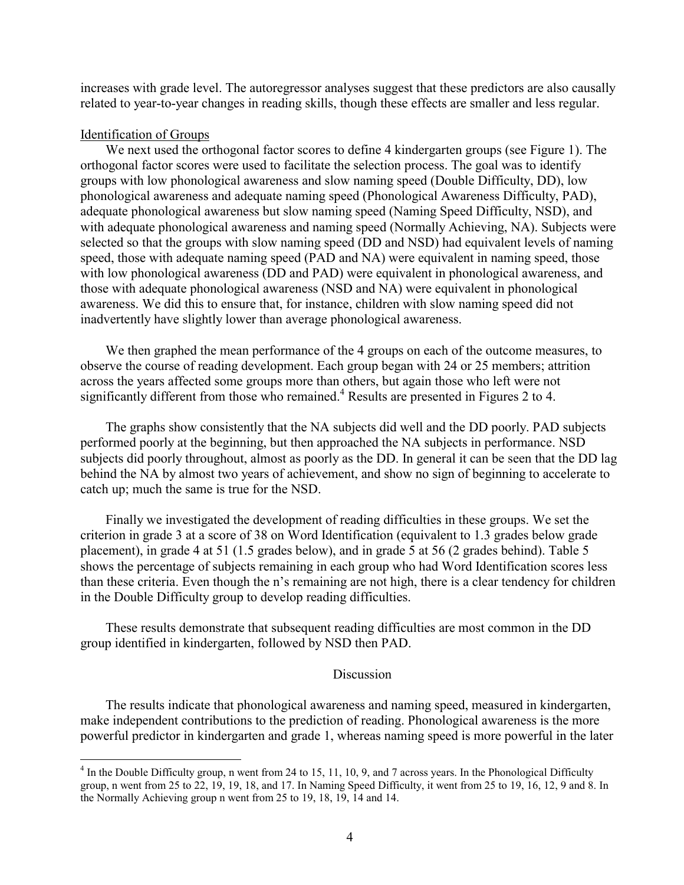increases with grade level. The autoregressor analyses suggest that these predictors are also causally related to year-to-year changes in reading skills, though these effects are smaller and less regular.

# Identification of Groups

 $\overline{a}$ 

We next used the orthogonal factor scores to define 4 kindergarten groups (see Figure 1). The orthogonal factor scores were used to facilitate the selection process. The goal was to identify groups with low phonological awareness and slow naming speed (Double Difficulty, DD), low phonological awareness and adequate naming speed (Phonological Awareness Difficulty, PAD), adequate phonological awareness but slow naming speed (Naming Speed Difficulty, NSD), and with adequate phonological awareness and naming speed (Normally Achieving, NA). Subjects were selected so that the groups with slow naming speed (DD and NSD) had equivalent levels of naming speed, those with adequate naming speed (PAD and NA) were equivalent in naming speed, those with low phonological awareness (DD and PAD) were equivalent in phonological awareness, and those with adequate phonological awareness (NSD and NA) were equivalent in phonological awareness. We did this to ensure that, for instance, children with slow naming speed did not inadvertently have slightly lower than average phonological awareness.

We then graphed the mean performance of the 4 groups on each of the outcome measures, to observe the course of reading development. Each group began with 24 or 25 members; attrition across the years affected some groups more than others, but again those who left were not significantly different from those who remained.<sup>4</sup> Results are presented in Figures 2 to 4.

The graphs show consistently that the NA subjects did well and the DD poorly. PAD subjects performed poorly at the beginning, but then approached the NA subjects in performance. NSD subjects did poorly throughout, almost as poorly as the DD. In general it can be seen that the DD lag behind the NA by almost two years of achievement, and show no sign of beginning to accelerate to catch up; much the same is true for the NSD.

Finally we investigated the development of reading difficulties in these groups. We set the criterion in grade 3 at a score of 38 on Word Identification (equivalent to 1.3 grades below grade placement), in grade 4 at 51 (1.5 grades below), and in grade 5 at 56 (2 grades behind). Table 5 shows the percentage of subjects remaining in each group who had Word Identification scores less than these criteria. Even though the n's remaining are not high, there is a clear tendency for children in the Double Difficulty group to develop reading difficulties.

These results demonstrate that subsequent reading difficulties are most common in the DD group identified in kindergarten, followed by NSD then PAD.

# **Discussion**

The results indicate that phonological awareness and naming speed, measured in kindergarten, make independent contributions to the prediction of reading. Phonological awareness is the more powerful predictor in kindergarten and grade 1, whereas naming speed is more powerful in the later

 $4 \text{ In the Double Difficulty group, n went from 24 to 15, 11, 10, 9, and 7 across years. In the Phonological Difficulty$ group, n went from 25 to 22, 19, 19, 18, and 17. In Naming Speed Difficulty, it went from 25 to 19, 16, 12, 9 and 8. In the Normally Achieving group n went from 25 to 19, 18, 19, 14 and 14.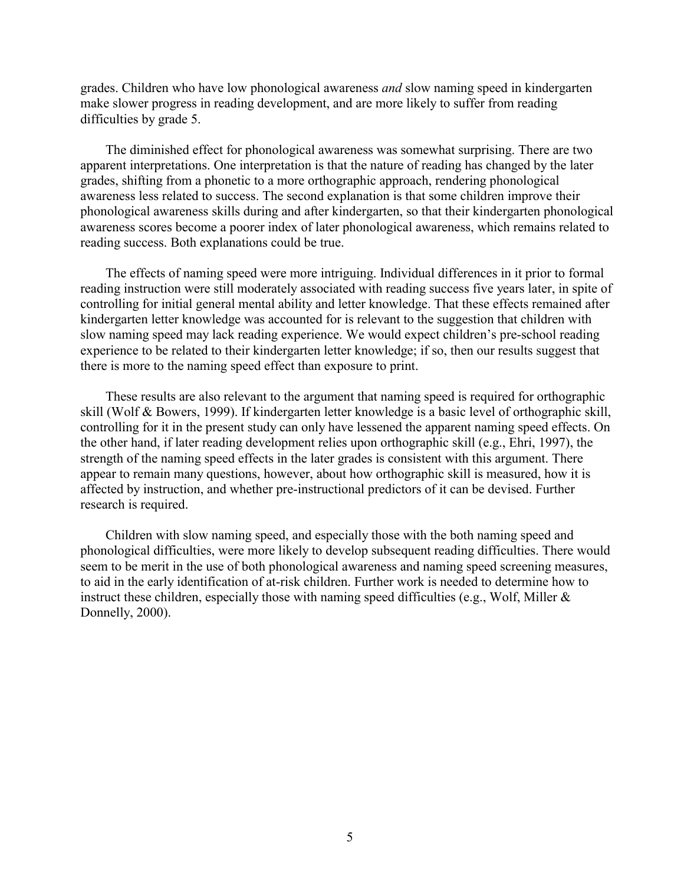grades. Children who have low phonological awareness *and* slow naming speed in kindergarten make slower progress in reading development, and are more likely to suffer from reading difficulties by grade 5.

The diminished effect for phonological awareness was somewhat surprising. There are two apparent interpretations. One interpretation is that the nature of reading has changed by the later grades, shifting from a phonetic to a more orthographic approach, rendering phonological awareness less related to success. The second explanation is that some children improve their phonological awareness skills during and after kindergarten, so that their kindergarten phonological awareness scores become a poorer index of later phonological awareness, which remains related to reading success. Both explanations could be true.

The effects of naming speed were more intriguing. Individual differences in it prior to formal reading instruction were still moderately associated with reading success five years later, in spite of controlling for initial general mental ability and letter knowledge. That these effects remained after kindergarten letter knowledge was accounted for is relevant to the suggestion that children with slow naming speed may lack reading experience. We would expect children's pre-school reading experience to be related to their kindergarten letter knowledge; if so, then our results suggest that there is more to the naming speed effect than exposure to print.

These results are also relevant to the argument that naming speed is required for orthographic skill (Wolf & Bowers, 1999). If kindergarten letter knowledge is a basic level of orthographic skill, controlling for it in the present study can only have lessened the apparent naming speed effects. On the other hand, if later reading development relies upon orthographic skill (e.g., Ehri, 1997), the strength of the naming speed effects in the later grades is consistent with this argument. There appear to remain many questions, however, about how orthographic skill is measured, how it is affected by instruction, and whether pre-instructional predictors of it can be devised. Further research is required.

Children with slow naming speed, and especially those with the both naming speed and phonological difficulties, were more likely to develop subsequent reading difficulties. There would seem to be merit in the use of both phonological awareness and naming speed screening measures, to aid in the early identification of at-risk children. Further work is needed to determine how to instruct these children, especially those with naming speed difficulties (e.g., Wolf, Miller & Donnelly, 2000).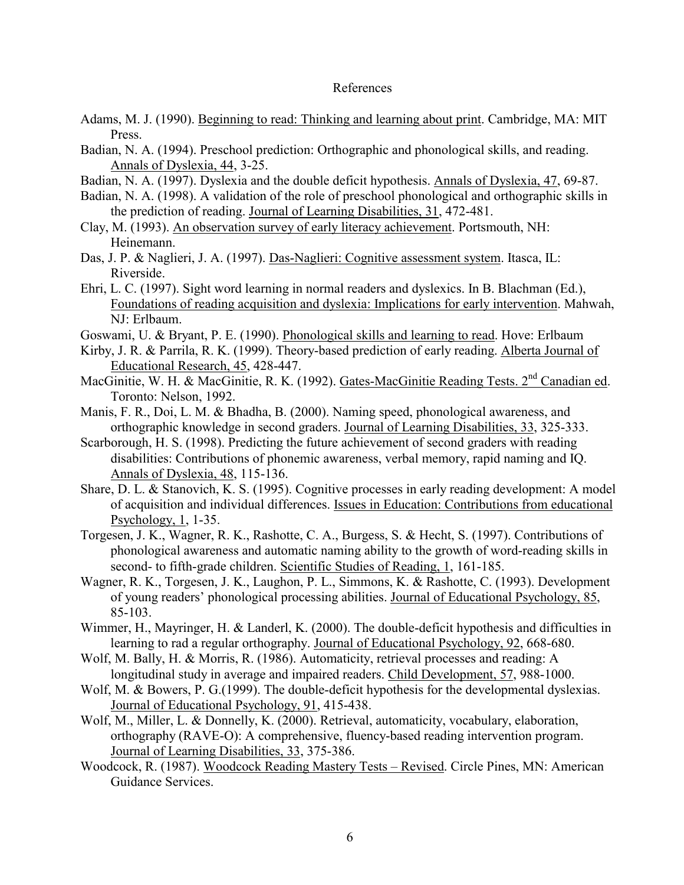## References

- Adams, M. J. (1990). Beginning to read: Thinking and learning about print. Cambridge, MA: MIT Press.
- Badian, N. A. (1994). Preschool prediction: Orthographic and phonological skills, and reading. Annals of Dyslexia, 44, 3-25.
- Badian, N. A. (1997). Dyslexia and the double deficit hypothesis. Annals of Dyslexia, 47, 69-87.
- Badian, N. A. (1998). A validation of the role of preschool phonological and orthographic skills in the prediction of reading. Journal of Learning Disabilities, 31, 472-481.
- Clay, M. (1993). An observation survey of early literacy achievement. Portsmouth, NH: Heinemann.
- Das, J. P. & Naglieri, J. A. (1997). Das-Naglieri: Cognitive assessment system. Itasca, IL: Riverside.
- Ehri, L. C. (1997). Sight word learning in normal readers and dyslexics. In B. Blachman (Ed.), Foundations of reading acquisition and dyslexia: Implications for early intervention. Mahwah, NJ: Erlbaum.
- Goswami, U. & Bryant, P. E. (1990). Phonological skills and learning to read. Hove: Erlbaum
- Kirby, J. R. & Parrila, R. K. (1999). Theory-based prediction of early reading. Alberta Journal of Educational Research, 45, 428-447.
- MacGinitie, W. H. & MacGinitie, R. K. (1992). Gates-MacGinitie Reading Tests. 2<sup>nd</sup> Canadian ed. Toronto: Nelson, 1992.
- Manis, F. R., Doi, L. M. & Bhadha, B. (2000). Naming speed, phonological awareness, and orthographic knowledge in second graders. Journal of Learning Disabilities, 33, 325-333.
- Scarborough, H. S. (1998). Predicting the future achievement of second graders with reading disabilities: Contributions of phonemic awareness, verbal memory, rapid naming and IQ. Annals of Dyslexia, 48, 115-136.
- Share, D. L. & Stanovich, K. S. (1995). Cognitive processes in early reading development: A model of acquisition and individual differences. Issues in Education: Contributions from educational Psychology, 1, 1-35.
- Torgesen, J. K., Wagner, R. K., Rashotte, C. A., Burgess, S. & Hecht, S. (1997). Contributions of phonological awareness and automatic naming ability to the growth of word-reading skills in second- to fifth-grade children. Scientific Studies of Reading, 1, 161-185.
- Wagner, R. K., Torgesen, J. K., Laughon, P. L., Simmons, K. & Rashotte, C. (1993). Development of young readers' phonological processing abilities. Journal of Educational Psychology, 85, 85-103.
- Wimmer, H., Mayringer, H. & Landerl, K. (2000). The double-deficit hypothesis and difficulties in learning to rad a regular orthography. Journal of Educational Psychology, 92, 668-680.
- Wolf, M. Bally, H. & Morris, R. (1986). Automaticity, retrieval processes and reading: A longitudinal study in average and impaired readers. Child Development, 57, 988-1000.
- Wolf, M. & Bowers, P. G. (1999). The double-deficit hypothesis for the developmental dyslexias. Journal of Educational Psychology, 91, 415-438.
- Wolf, M., Miller, L. & Donnelly, K. (2000). Retrieval, automaticity, vocabulary, elaboration, orthography (RAVE-O): A comprehensive, fluency-based reading intervention program. Journal of Learning Disabilities, 33, 375-386.
- Woodcock, R. (1987). Woodcock Reading Mastery Tests Revised. Circle Pines, MN: American Guidance Services.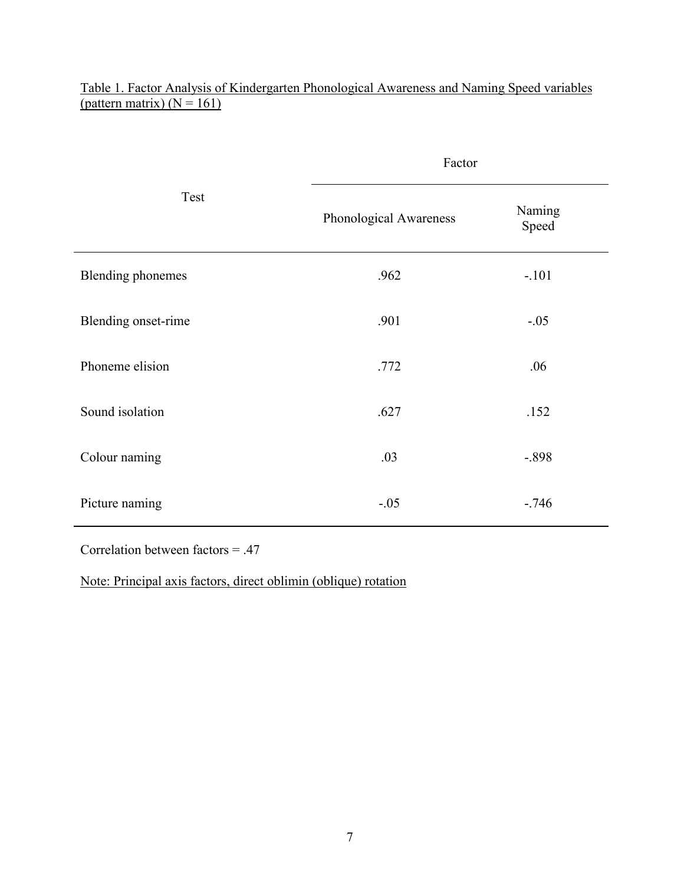|                          | Factor                 |                 |  |  |
|--------------------------|------------------------|-----------------|--|--|
| Test                     | Phonological Awareness | Naming<br>Speed |  |  |
| <b>Blending phonemes</b> | .962                   | $-.101$         |  |  |
| Blending onset-rime      | .901                   | $-.05$          |  |  |
| Phoneme elision          | .772                   | .06             |  |  |
| Sound isolation          | .627                   | .152            |  |  |
| Colour naming            | .03                    | $-.898$         |  |  |
| Picture naming           | $-.05$                 | $-746$          |  |  |

Table 1. Factor Analysis of Kindergarten Phonological Awareness and Naming Speed variables (pattern matrix)  $(N = 161)$ 

Correlation between factors = .47

Note: Principal axis factors, direct oblimin (oblique) rotation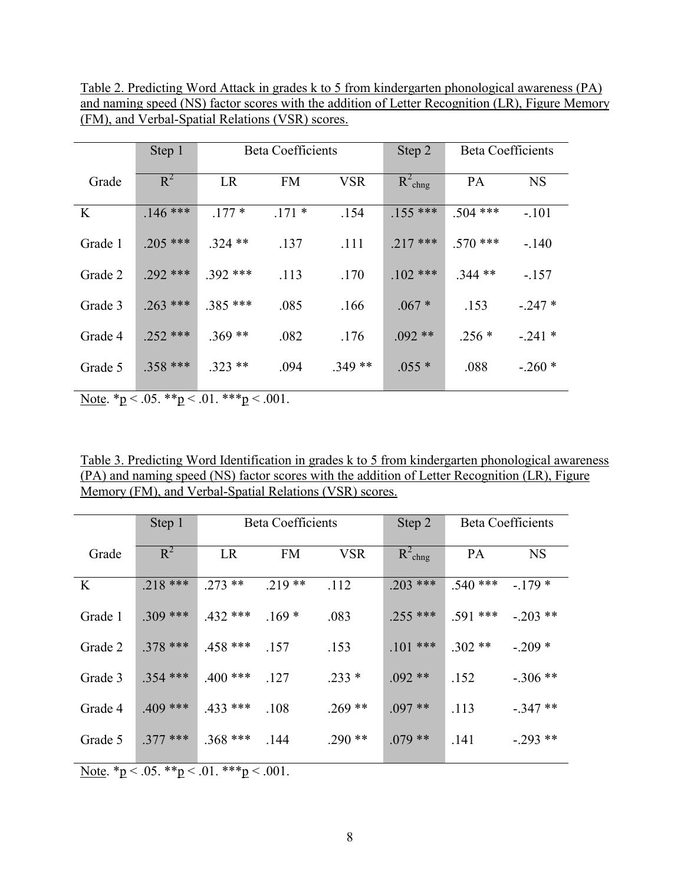Table 2. Predicting Word Attack in grades k to 5 from kindergarten phonological awareness (PA) and naming speed (NS) factor scores with the addition of Letter Recognition (LR), Figure Memory (FM), and Verbal-Spatial Relations (VSR) scores.

|          | Step 1     | <b>Beta Coefficients</b> |           | Step 2     | <b>Beta Coefficients</b> |            |           |
|----------|------------|--------------------------|-----------|------------|--------------------------|------------|-----------|
| Grade    | $R^2$      | LR                       | <b>FM</b> | <b>VSR</b> | $R^2_{\text{chng}}$      | PA         | <b>NS</b> |
| $\bf{K}$ | $.146$ *** | $.177*$                  | $.171*$   | .154       | $.155$ ***               | $.504$ *** | $-101$    |
| Grade 1  | $.205$ *** | $.324$ **                | .137      | .111       | $.217***$                | $.570$ *** | $-.140$   |
| Grade 2  | $.292$ *** | $.392$ ***               | .113      | .170       | $.102$ ***               | $.344**$   | $-.157$   |
| Grade 3  | $.263$ *** | $.385$ ***               | .085      | .166       | $.067*$                  | .153       | $-.247*$  |
| Grade 4  | $.252$ *** | $.369**$                 | .082      | .176       | $.092**$                 | $.256*$    | $-241*$   |
| Grade 5  | $.358$ *** | $.323**$                 | .094      | $.349**$   | $.055*$                  | .088       | $-.260*$  |

Note.  $p < .05.$  \*\*p $< .01.$  \*\*\*p $< .001.$ 

Table 3. Predicting Word Identification in grades k to 5 from kindergarten phonological awareness (PA) and naming speed (NS) factor scores with the addition of Letter Recognition (LR), Figure Memory (FM), and Verbal-Spatial Relations (VSR) scores.

|          | Step 1     | <b>Beta Coefficients</b> |           | Step 2     | <b>Beta Coefficients</b> |            |           |
|----------|------------|--------------------------|-----------|------------|--------------------------|------------|-----------|
| Grade    | $R^2$      | LR                       | <b>FM</b> | <b>VSR</b> | $R^2_{\text{chng}}$      | PA         | <b>NS</b> |
| $\bf{K}$ | $.218$ *** | $.273$ **                | $.219**$  | .112       | $.203$ ***               | $.540$ *** | $-179*$   |
| Grade 1  | $.309$ *** | $.432$ ***               | $.169*$   | .083       | $.255$ ***               | $.591$ *** | $-.203**$ |
| Grade 2  | $.378***$  | $.458$ ***               | .157      | .153       | $.101$ ***               | $.302**$   | $-.209*$  |
| Grade 3  | $.354$ *** | $.400$ ***               | .127      | $.233*$    | $.092**$                 | .152       | $-.306**$ |
| Grade 4  | $.409$ *** | $.433$ ***               | .108      | $.269**$   | $.097**$                 | .113       | $-.347**$ |
| Grade 5  | $.377$ *** | $.368$ ***               | .144      | $.290**$   | $.079**$                 | .141       | $-.293**$ |

Note.  $p < .05.$  \*\*p $< .01.$  \*\*\*p $< .001.$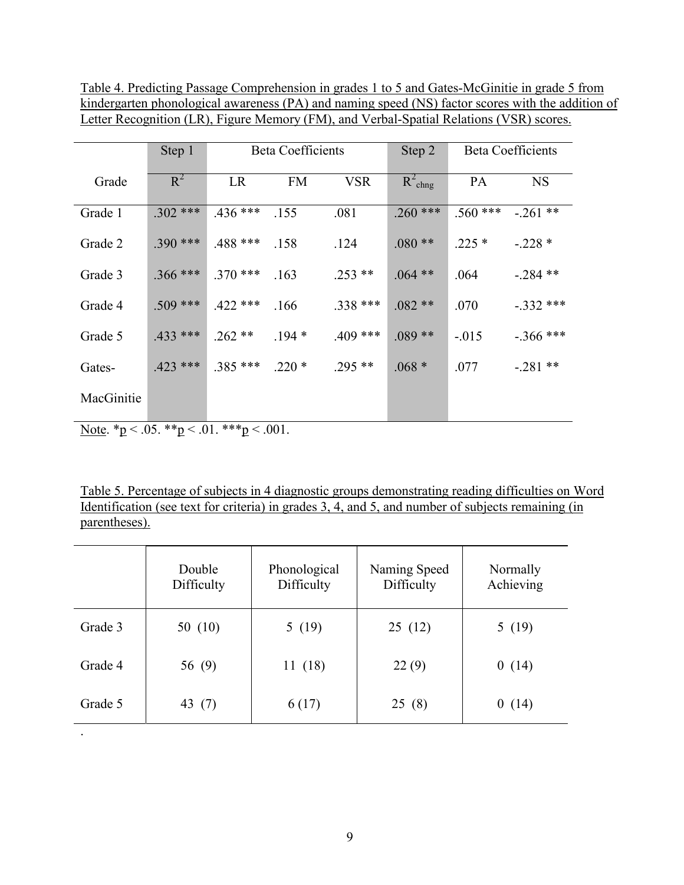Table 4. Predicting Passage Comprehension in grades 1 to 5 and Gates-McGinitie in grade 5 from kindergarten phonological awareness (PA) and naming speed (NS) factor scores with the addition of Letter Recognition (LR), Figure Memory (FM), and Verbal-Spatial Relations (VSR) scores.

|            | Step 1     | <b>Beta Coefficients</b> |           | Step 2     | <b>Beta Coefficients</b> |            |             |
|------------|------------|--------------------------|-----------|------------|--------------------------|------------|-------------|
| Grade      | $R^2$      | LR                       | <b>FM</b> | <b>VSR</b> | $R^2_{\text{chng}}$      | PA         | <b>NS</b>   |
| Grade 1    | $.302$ *** | $.436$ ***               | .155      | .081       | $.260$ ***               | $.560$ *** | $-.261**$   |
| Grade 2    | $.390$ *** | $.488$ ***               | .158      | .124       | $.080**$                 | $.225*$    | $-.228*$    |
| Grade 3    | $.366$ *** | $.370$ ***               | .163      | $.253**$   | $.064$ **                | .064       | $-.284**$   |
| Grade 4    | $.509$ *** | $.422$ ***               | .166      | $.338$ *** | $.082**$                 | .070       | $-.332$ *** |
| Grade 5    | $.433$ *** | $.262**$                 | $.194*$   | $.409$ *** | $.089**$                 | $-.015$    | $-.366$ *** |
| Gates-     | $.423$ *** | $.385$ ***               | $.220*$   | $.295**$   | $.068 *$                 | .077       | $-.281**$   |
| MacGinitie |            |                          |           |            |                          |            |             |

Note.  $p < .05.$  \*\*p $< .01.$  \*\*\*p $< .001.$ 

Table 5. Percentage of subjects in 4 diagnostic groups demonstrating reading difficulties on Word Identification (see text for criteria) in grades 3, 4, and 5, and number of subjects remaining (in parentheses).

|         | Double<br>Difficulty | Phonological<br>Difficulty | Naming Speed<br>Difficulty | Normally<br>Achieving |
|---------|----------------------|----------------------------|----------------------------|-----------------------|
| Grade 3 | 50 $(10)$            | 5(19)                      | 25(12)                     | 5(19)                 |
| Grade 4 | 56 (9)               | 11(18)                     | 22(9)                      | 0(14)                 |
| Grade 5 | 43 (7)               | 6(17)                      | 25(8)                      | (14)<br>0             |
|         |                      |                            |                            |                       |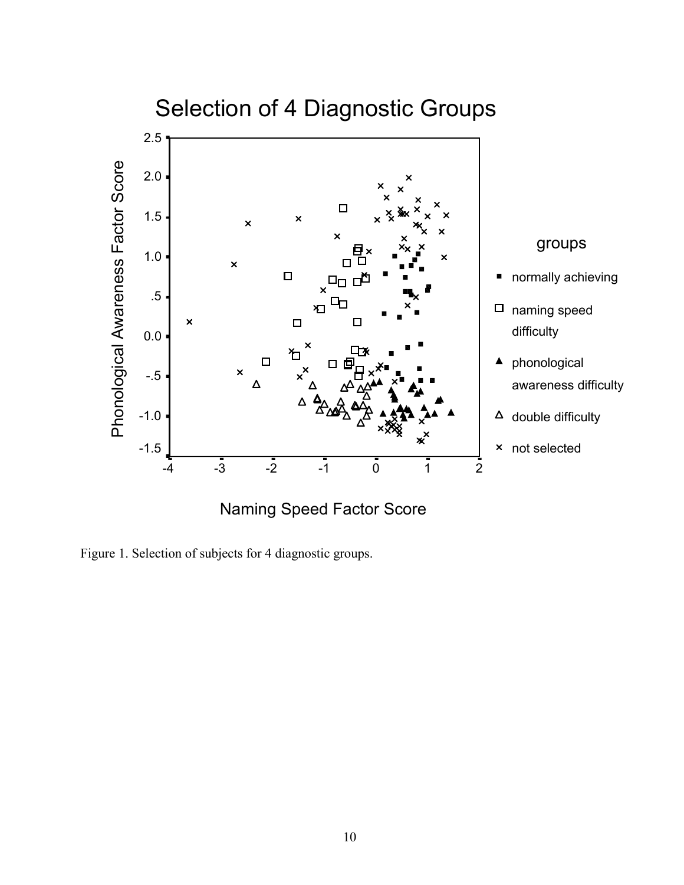

Figure 1. Selection of subjects for 4 diagnostic groups.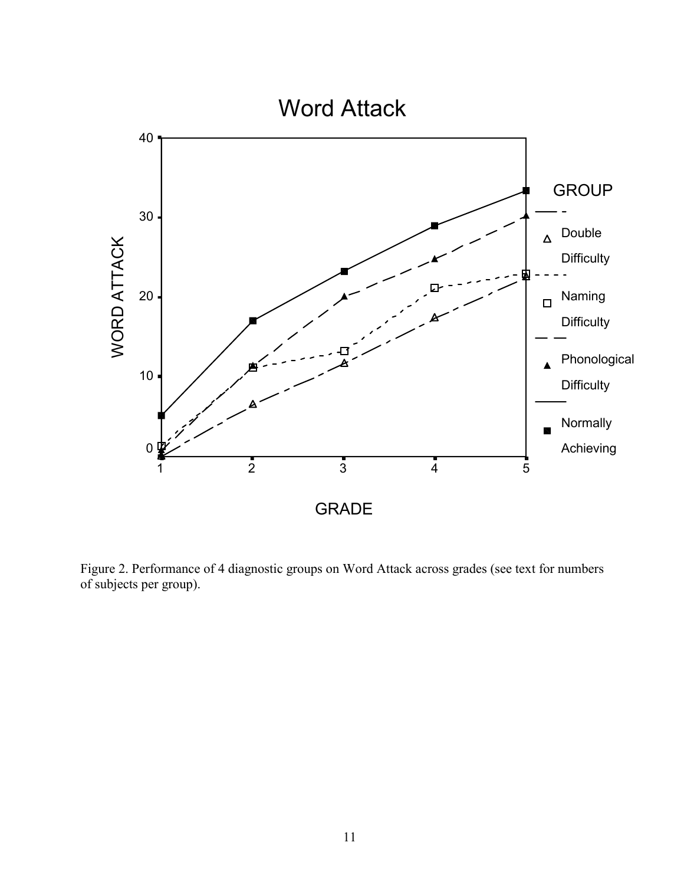

Figure 2. Performance of 4 diagnostic groups on Word Attack across grades (see text for numbers of subjects per group).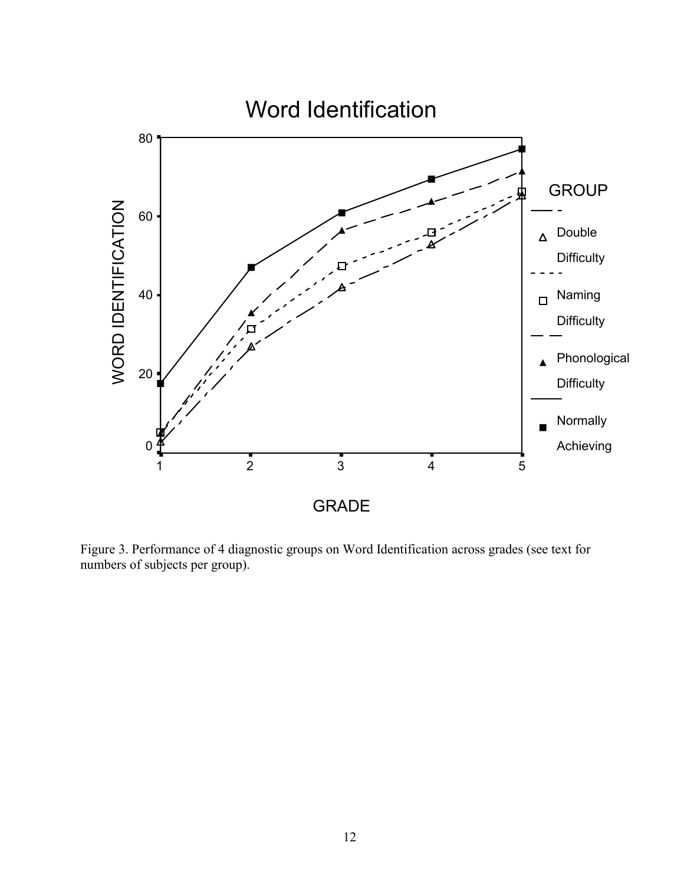

Figure 3. Performance of 4 diagnostic groups on Word Identification across grades (see text for numbers of subjects per group).